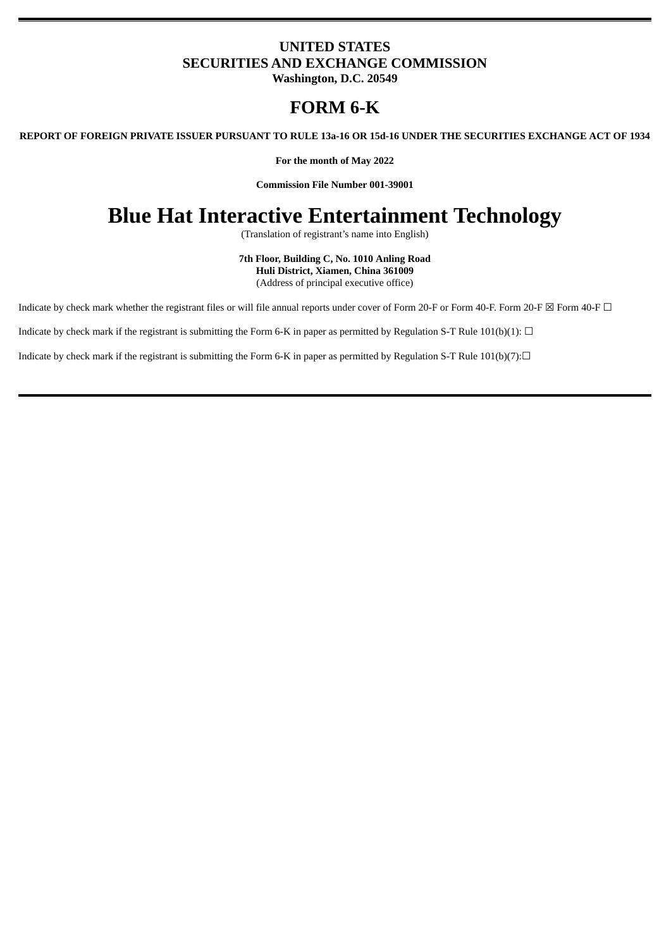### **UNITED STATES SECURITIES AND EXCHANGE COMMISSION**

**Washington, D.C. 20549**

## **FORM 6-K**

REPORT OF FOREIGN PRIVATE ISSUER PURSUANT TO RULE 13a-16 OR 15d-16 UNDER THE SECURITIES EXCHANGE ACT OF 1934

**For the month of May 2022**

**Commission File Number 001-39001**

# **Blue Hat Interactive Entertainment Technology**

(Translation of registrant's name into English)

**7th Floor, Building C, No. 1010 Anling Road Huli District, Xiamen, China 361009** (Address of principal executive office)

Indicate by check mark whether the registrant files or will file annual reports under cover of Form 20-F or Form 40-F. Form 20-F ⊠ Form 40-F □

Indicate by check mark if the registrant is submitting the Form 6-K in paper as permitted by Regulation S-T Rule 101(b)(1):  $\Box$ 

Indicate by check mark if the registrant is submitting the Form 6-K in paper as permitted by Regulation S-T Rule  $101(b)(7):□$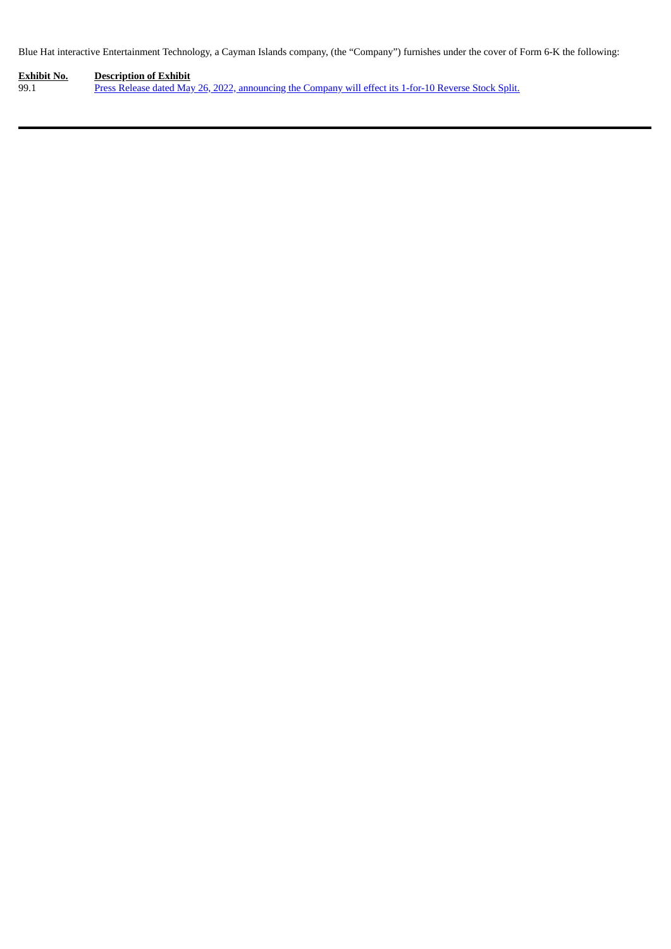Blue Hat interactive Entertainment Technology, a Cayman Islands company, (the "Company") furnishes under the cover of Form 6-K the following:

**Exhibit No. Description of Exhibit** 99.1 Press Release dated May 26, 2022, [announcing](#page-3-0) the Company will effect its 1-for-10 Reverse Stock Split.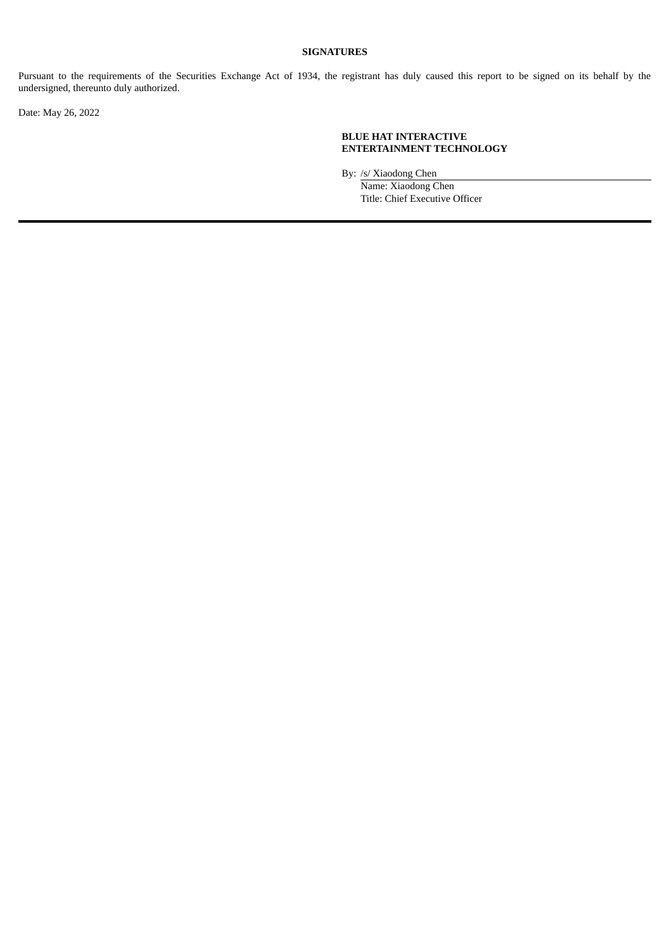#### **SIGNATURES**

Pursuant to the requirements of the Securities Exchange Act of 1934, the registrant has duly caused this report to be signed on its behalf by the undersigned, thereunto duly authorized.

Date: May 26, 2022

#### **BLUE HAT INTERACTIVE ENTERTAINMENT TECHNOLOGY**

By: /s/ Xiaodong Chen

Name: Xiaodong Chen Title: Chief Executive Officer